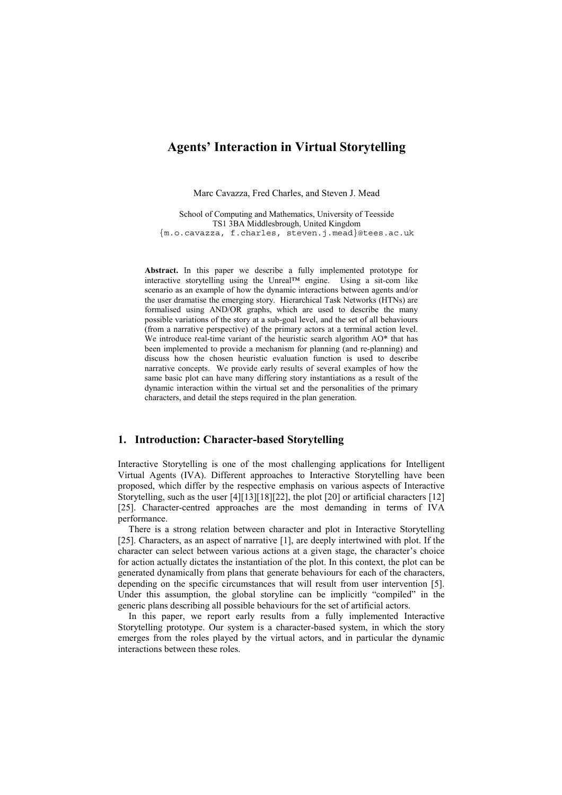# **Agents' Interaction in Virtual Storytelling**

Marc Cavazza, Fred Charles, and Steven J. Mead

School of Computing and Mathematics, University of Teesside TS1 3BA Middlesbrough, United Kingdom {m.o.cavazza, f.charles, steven.j.mead}@tees.ac.uk

**Abstract.** In this paper we describe a fully implemented prototype for interactive storytelling using the Unreal™ engine. Using a sit-com like scenario as an example of how the dynamic interactions between agents and/or the user dramatise the emerging story. Hierarchical Task Networks (HTNs) are formalised using AND/OR graphs, which are used to describe the many possible variations of the story at a sub-goal level, and the set of all behaviours (from a narrative perspective) of the primary actors at a terminal action level. We introduce real-time variant of the heuristic search algorithm AO\* that has been implemented to provide a mechanism for planning (and re-planning) and discuss how the chosen heuristic evaluation function is used to describe narrative concepts. We provide early results of several examples of how the same basic plot can have many differing story instantiations as a result of the dynamic interaction within the virtual set and the personalities of the primary characters, and detail the steps required in the plan generation.

### **1. Introduction: Character-based Storytelling**

Interactive Storytelling is one of the most challenging applications for Intelligent Virtual Agents (IVA). Different approaches to Interactive Storytelling have been proposed, which differ by the respective emphasis on various aspects of Interactive Storytelling, such as the user [4][13][18][22], the plot [20] or artificial characters [12] [25]. Character-centred approaches are the most demanding in terms of IVA performance.

There is a strong relation between character and plot in Interactive Storytelling [25]. Characters, as an aspect of narrative [1], are deeply intertwined with plot. If the character can select between various actions at a given stage, the character's choice for action actually dictates the instantiation of the plot. In this context, the plot can be generated dynamically from plans that generate behaviours for each of the characters, depending on the specific circumstances that will result from user intervention [5]. Under this assumption, the global storyline can be implicitly "compiled" in the generic plans describing all possible behaviours for the set of artificial actors.

In this paper, we report early results from a fully implemented Interactive Storytelling prototype. Our system is a character-based system, in which the story emerges from the roles played by the virtual actors, and in particular the dynamic interactions between these roles.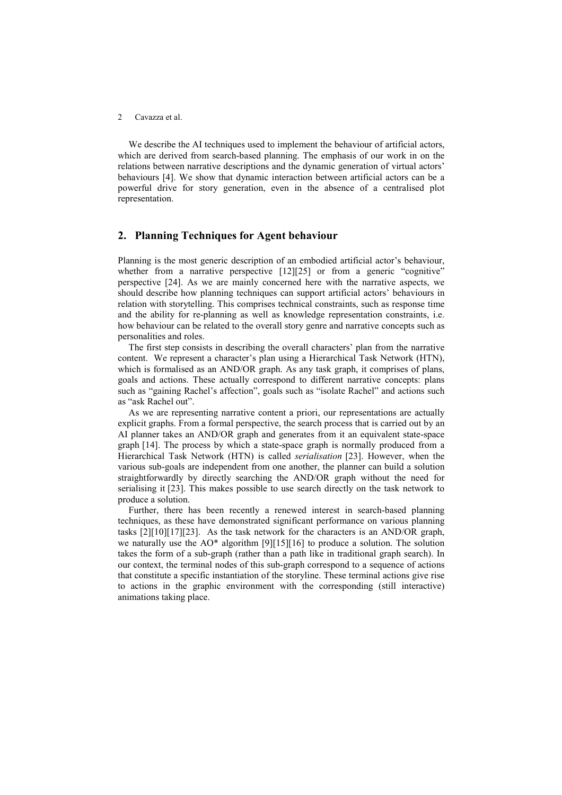We describe the AI techniques used to implement the behaviour of artificial actors, which are derived from search-based planning. The emphasis of our work in on the relations between narrative descriptions and the dynamic generation of virtual actors' behaviours [4]. We show that dynamic interaction between artificial actors can be a powerful drive for story generation, even in the absence of a centralised plot representation.

## **2. Planning Techniques for Agent behaviour**

Planning is the most generic description of an embodied artificial actor's behaviour, whether from a narrative perspective [12][25] or from a generic "cognitive" perspective [24]. As we are mainly concerned here with the narrative aspects, we should describe how planning techniques can support artificial actors' behaviours in relation with storytelling. This comprises technical constraints, such as response time and the ability for re-planning as well as knowledge representation constraints, i.e. how behaviour can be related to the overall story genre and narrative concepts such as personalities and roles.

The first step consists in describing the overall characters' plan from the narrative content. We represent a character's plan using a Hierarchical Task Network (HTN), which is formalised as an AND/OR graph. As any task graph, it comprises of plans, goals and actions. These actually correspond to different narrative concepts: plans such as "gaining Rachel's affection", goals such as "isolate Rachel" and actions such as "ask Rachel out".

As we are representing narrative content a priori, our representations are actually explicit graphs. From a formal perspective, the search process that is carried out by an AI planner takes an AND/OR graph and generates from it an equivalent state-space graph [14]. The process by which a state-space graph is normally produced from a Hierarchical Task Network (HTN) is called *serialisation* [23]. However, when the various sub-goals are independent from one another, the planner can build a solution straightforwardly by directly searching the AND/OR graph without the need for serialising it [23]. This makes possible to use search directly on the task network to produce a solution.

Further, there has been recently a renewed interest in search-based planning techniques, as these have demonstrated significant performance on various planning tasks [2][10][17][23]. As the task network for the characters is an AND/OR graph, we naturally use the  $AO*$  algorithm [9][15][16] to produce a solution. The solution takes the form of a sub-graph (rather than a path like in traditional graph search). In our context, the terminal nodes of this sub-graph correspond to a sequence of actions that constitute a specific instantiation of the storyline. These terminal actions give rise to actions in the graphic environment with the corresponding (still interactive) animations taking place.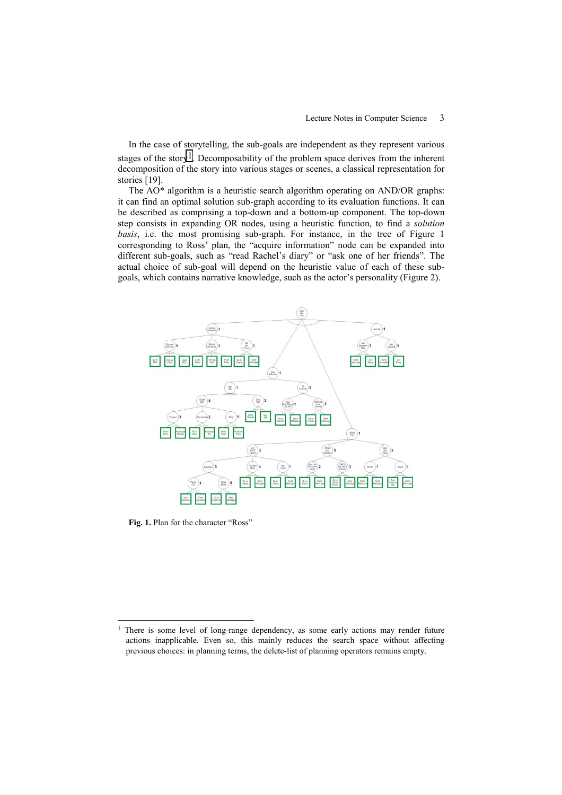In the case of storytelling, the sub-goals are independent as they represent various stages of the story<sup>1</sup>. Decomposability of the problem space derives from the inherent decomposition of the story into various stages or scenes, a classical representation for stories [19].

The AO\* algorithm is a heuristic search algorithm operating on AND/OR graphs: it can find an optimal solution sub-graph according to its evaluation functions. It can be described as comprising a top-down and a bottom-up component. The top-down step consists in expanding OR nodes, using a heuristic function, to find a *solution basis*, i.e. the most promising sub-graph. For instance, in the tree of Figure 1 corresponding to Ross' plan, the "acquire information" node can be expanded into different sub-goals, such as "read Rachel's diary" or "ask one of her friends". The actual choice of sub-goal will depend on the heuristic value of each of these subgoals, which contains narrative knowledge, such as the actor's personality (Figure 2).



**Fig. 1.** Plan for the character "Ross"

-

<sup>&</sup>lt;sup>1</sup> There is some level of long-range dependency, as some early actions may render future actions inapplicable. Even so, this mainly reduces the search space without affecting previous choices: in planning terms, the delete-list of planning operators remains empty.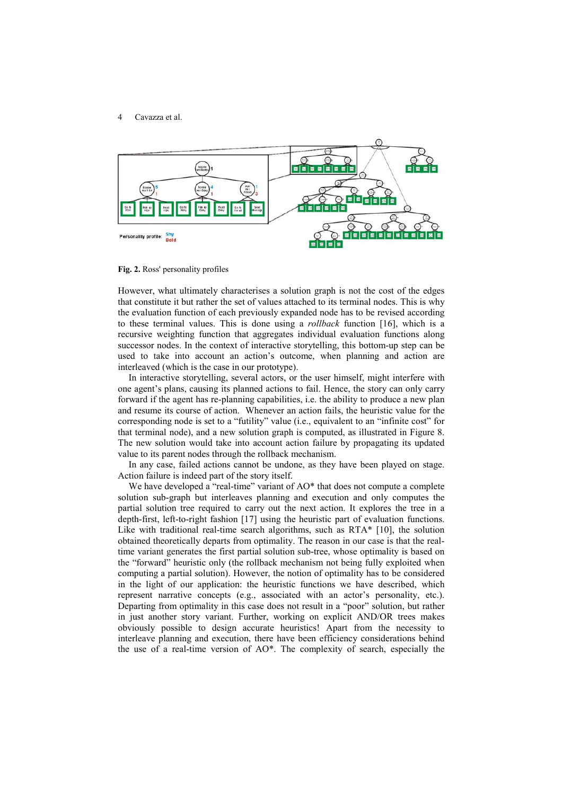

**Fig. 2.** Ross' personality profiles

However, what ultimately characterises a solution graph is not the cost of the edges that constitute it but rather the set of values attached to its terminal nodes. This is why the evaluation function of each previously expanded node has to be revised according to these terminal values. This is done using a *rollback* function [16], which is a recursive weighting function that aggregates individual evaluation functions along successor nodes. In the context of interactive storytelling, this bottom-up step can be used to take into account an action's outcome, when planning and action are interleaved (which is the case in our prototype).

In interactive storytelling, several actors, or the user himself, might interfere with one agent's plans, causing its planned actions to fail. Hence, the story can only carry forward if the agent has re-planning capabilities, i.e. the ability to produce a new plan and resume its course of action. Whenever an action fails, the heuristic value for the corresponding node is set to a "futility" value (i.e., equivalent to an "infinite cost" for that terminal node), and a new solution graph is computed, as illustrated in Figure 8. The new solution would take into account action failure by propagating its updated value to its parent nodes through the rollback mechanism.

In any case, failed actions cannot be undone, as they have been played on stage. Action failure is indeed part of the story itself.

We have developed a "real-time" variant of AO\* that does not compute a complete solution sub-graph but interleaves planning and execution and only computes the partial solution tree required to carry out the next action. It explores the tree in a depth-first, left-to-right fashion [17] using the heuristic part of evaluation functions. Like with traditional real-time search algorithms, such as RTA\* [10], the solution obtained theoretically departs from optimality. The reason in our case is that the realtime variant generates the first partial solution sub-tree, whose optimality is based on the "forward" heuristic only (the rollback mechanism not being fully exploited when computing a partial solution). However, the notion of optimality has to be considered in the light of our application: the heuristic functions we have described, which represent narrative concepts (e.g., associated with an actor's personality, etc.). Departing from optimality in this case does not result in a "poor" solution, but rather in just another story variant. Further, working on explicit AND/OR trees makes obviously possible to design accurate heuristics! Apart from the necessity to interleave planning and execution, there have been efficiency considerations behind the use of a real-time version of AO\*. The complexity of search, especially the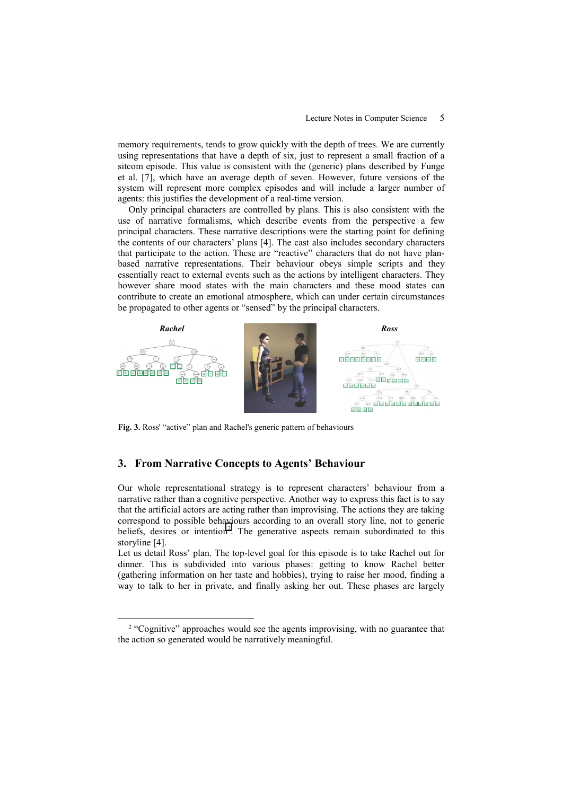memory requirements, tends to grow quickly with the depth of trees. We are currently using representations that have a depth of six, just to represent a small fraction of a sitcom episode. This value is consistent with the (generic) plans described by Funge et al. [7], which have an average depth of seven. However, future versions of the system will represent more complex episodes and will include a larger number of agents: this justifies the development of a real-time version.

Only principal characters are controlled by plans. This is also consistent with the use of narrative formalisms, which describe events from the perspective a few principal characters. These narrative descriptions were the starting point for defining the contents of our characters' plans [4]. The cast also includes secondary characters that participate to the action. These are "reactive" characters that do not have planbased narrative representations. Their behaviour obeys simple scripts and they essentially react to external events such as the actions by intelligent characters. They however share mood states with the main characters and these mood states can contribute to create an emotional atmosphere, which can under certain circumstances be propagated to other agents or "sensed" by the principal characters.



**Fig. 3.** Ross' "active" plan and Rachel's generic pattern of behaviours

## **3. From Narrative Concepts to Agents' Behaviour**

Our whole representational strategy is to represent characters' behaviour from a narrative rather than a cognitive perspective. Another way to express this fact is to say that the artificial actors are acting rather than improvising. The actions they are taking correspond to possible behaviours according to an overall story line, not to generic beliefs, desires or intention<sup>2</sup>. The generative aspects remain subordinated to this storyline [4].

Let us detail Ross' plan. The top-level goal for this episode is to take Rachel out for dinner. This is subdivided into various phases: getting to know Rachel better (gathering information on her taste and hobbies), trying to raise her mood, finding a way to talk to her in private, and finally asking her out. These phases are largely

<sup>&</sup>lt;sup>2</sup> "Cognitive" approaches would see the agents improvising, with no guarantee that the action so generated would be narratively meaningful.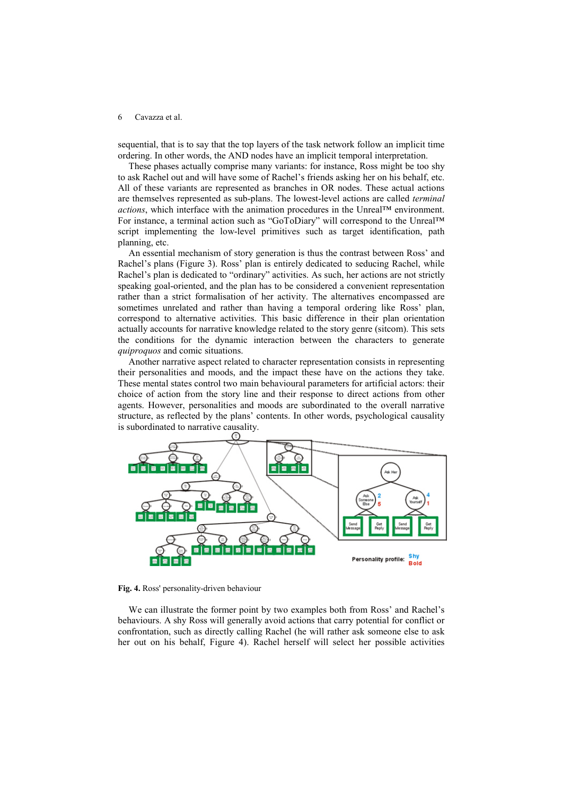sequential, that is to say that the top layers of the task network follow an implicit time ordering. In other words, the AND nodes have an implicit temporal interpretation.

These phases actually comprise many variants: for instance, Ross might be too shy to ask Rachel out and will have some of Rachel's friends asking her on his behalf, etc. All of these variants are represented as branches in OR nodes. These actual actions are themselves represented as sub-plans. The lowest-level actions are called *terminal actions*, which interface with the animation procedures in the Unreal™ environment. For instance, a terminal action such as "GoToDiary" will correspond to the Unreal™ script implementing the low-level primitives such as target identification, path planning, etc.

An essential mechanism of story generation is thus the contrast between Ross' and Rachel's plans (Figure 3). Ross' plan is entirely dedicated to seducing Rachel, while Rachel's plan is dedicated to "ordinary" activities. As such, her actions are not strictly speaking goal-oriented, and the plan has to be considered a convenient representation rather than a strict formalisation of her activity. The alternatives encompassed are sometimes unrelated and rather than having a temporal ordering like Ross' plan, correspond to alternative activities. This basic difference in their plan orientation actually accounts for narrative knowledge related to the story genre (sitcom). This sets the conditions for the dynamic interaction between the characters to generate *quiproquos* and comic situations.

Another narrative aspect related to character representation consists in representing their personalities and moods, and the impact these have on the actions they take. These mental states control two main behavioural parameters for artificial actors: their choice of action from the story line and their response to direct actions from other agents. However, personalities and moods are subordinated to the overall narrative structure, as reflected by the plans' contents. In other words, psychological causality is subordinated to narrative causality.



**Fig. 4.** Ross' personality-driven behaviour

We can illustrate the former point by two examples both from Ross' and Rachel's behaviours. A shy Ross will generally avoid actions that carry potential for conflict or confrontation, such as directly calling Rachel (he will rather ask someone else to ask her out on his behalf, Figure 4). Rachel herself will select her possible activities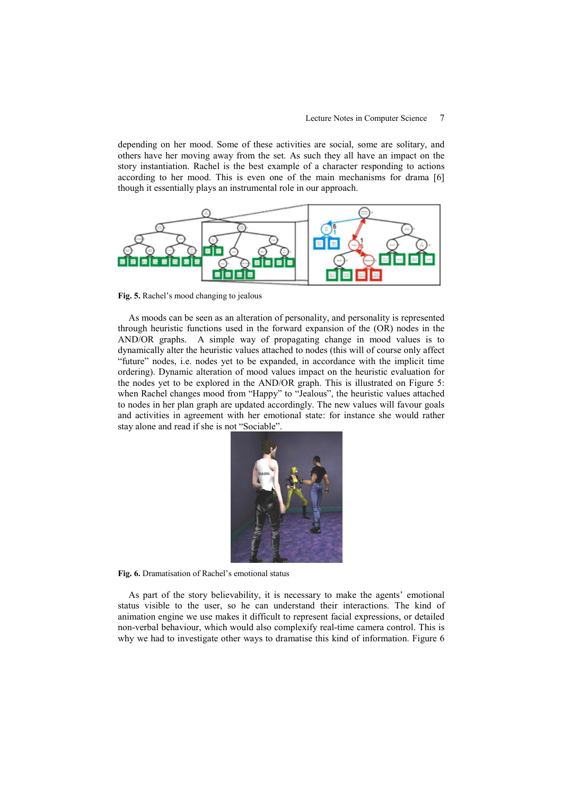depending on her mood. Some of these activities are social, some are solitary, and others have her moving away from the set. As such they all have an impact on the story instantiation. Rachel is the best example of a character responding to actions according to her mood. This is even one of the main mechanisms for drama [6] though it essentially plays an instrumental role in our approach.



**Fig. 5.** Rachel's mood changing to jealous

As moods can be seen as an alteration of personality, and personality is represented through heuristic functions used in the forward expansion of the (OR) nodes in the AND/OR graphs. A simple way of propagating change in mood values is to dynamically alter the heuristic values attached to nodes (this will of course only affect "future" nodes, i.e. nodes yet to be expanded, in accordance with the implicit time ordering). Dynamic alteration of mood values impact on the heuristic evaluation for the nodes yet to be explored in the AND/OR graph. This is illustrated on Figure 5: when Rachel changes mood from "Happy" to "Jealous", the heuristic values attached to nodes in her plan graph are updated accordingly. The new values will favour goals and activities in agreement with her emotional state: for instance she would rather stay alone and read if she is not "Sociable".



**Fig. 6.** Dramatisation of Rachel's emotional status

As part of the story believability, it is necessary to make the agents' emotional status visible to the user, so he can understand their interactions. The kind of animation engine we use makes it difficult to represent facial expressions, or detailed non-verbal behaviour, which would also complexify real-time camera control. This is why we had to investigate other ways to dramatise this kind of information. Figure 6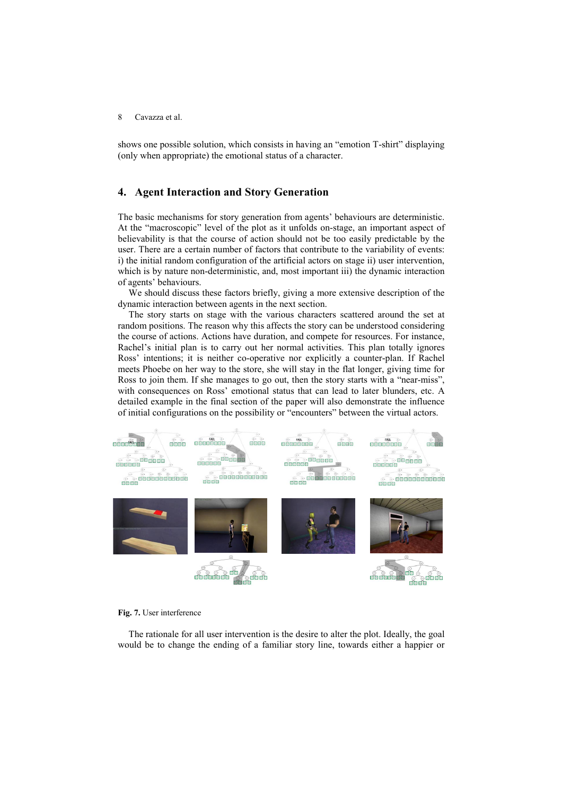shows one possible solution, which consists in having an "emotion T-shirt" displaying (only when appropriate) the emotional status of a character.

## **4. Agent Interaction and Story Generation**

The basic mechanisms for story generation from agents' behaviours are deterministic. At the "macroscopic" level of the plot as it unfolds on-stage, an important aspect of believability is that the course of action should not be too easily predictable by the user. There are a certain number of factors that contribute to the variability of events: i) the initial random configuration of the artificial actors on stage ii) user intervention, which is by nature non-deterministic, and, most important iii) the dynamic interaction of agents' behaviours.

We should discuss these factors briefly, giving a more extensive description of the dynamic interaction between agents in the next section.

The story starts on stage with the various characters scattered around the set at random positions. The reason why this affects the story can be understood considering the course of actions. Actions have duration, and compete for resources. For instance, Rachel's initial plan is to carry out her normal activities. This plan totally ignores Ross' intentions; it is neither co-operative nor explicitly a counter-plan. If Rachel meets Phoebe on her way to the store, she will stay in the flat longer, giving time for Ross to join them. If she manages to go out, then the story starts with a "near-miss", with consequences on Ross' emotional status that can lead to later blunders, etc. A detailed example in the final section of the paper will also demonstrate the influence of initial configurations on the possibility or "encounters" between the virtual actors.



#### **Fig. 7.** User interference

The rationale for all user intervention is the desire to alter the plot. Ideally, the goal would be to change the ending of a familiar story line, towards either a happier or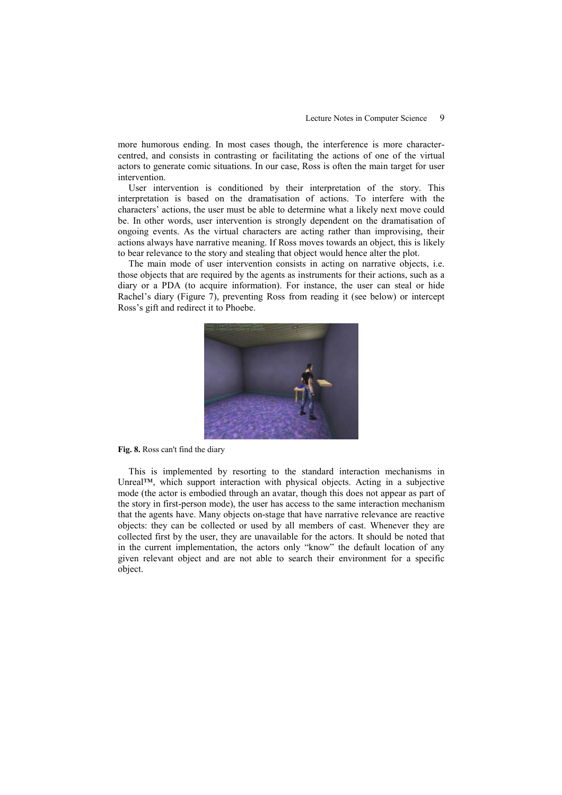more humorous ending. In most cases though, the interference is more charactercentred, and consists in contrasting or facilitating the actions of one of the virtual actors to generate comic situations. In our case, Ross is often the main target for user intervention.

User intervention is conditioned by their interpretation of the story. This interpretation is based on the dramatisation of actions. To interfere with the characters' actions, the user must be able to determine what a likely next move could be. In other words, user intervention is strongly dependent on the dramatisation of ongoing events. As the virtual characters are acting rather than improvising, their actions always have narrative meaning. If Ross moves towards an object, this is likely to bear relevance to the story and stealing that object would hence alter the plot.

The main mode of user intervention consists in acting on narrative objects, i.e. those objects that are required by the agents as instruments for their actions, such as a diary or a PDA (to acquire information). For instance, the user can steal or hide Rachel's diary (Figure 7), preventing Ross from reading it (see below) or intercept Ross's gift and redirect it to Phoebe.



#### **Fig. 8.** Ross can't find the diary

This is implemented by resorting to the standard interaction mechanisms in Unreal $\mathbb{I}^M$ , which support interaction with physical objects. Acting in a subjective mode (the actor is embodied through an avatar, though this does not appear as part of the story in first-person mode), the user has access to the same interaction mechanism that the agents have. Many objects on-stage that have narrative relevance are reactive objects: they can be collected or used by all members of cast. Whenever they are collected first by the user, they are unavailable for the actors. It should be noted that in the current implementation, the actors only "know" the default location of any given relevant object and are not able to search their environment for a specific object.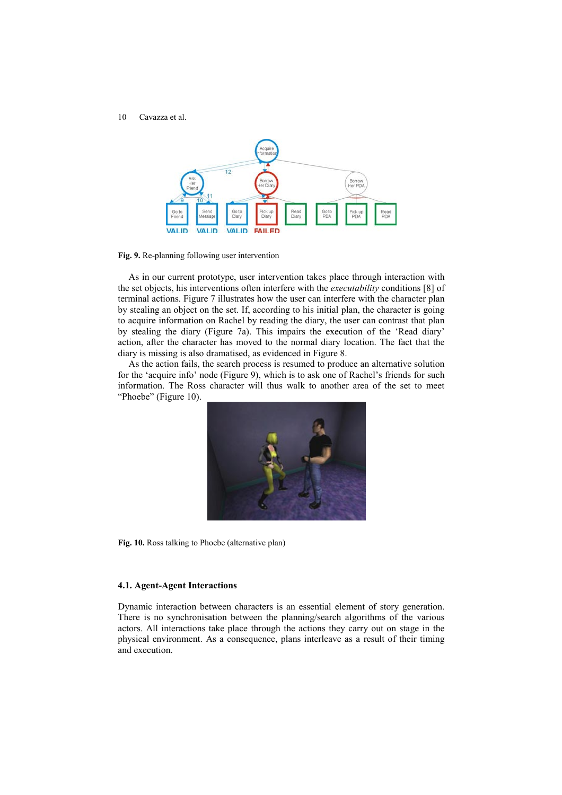10 Cavazza et al.



**Fig. 9.** Re-planning following user intervention

As in our current prototype, user intervention takes place through interaction with the set objects, his interventions often interfere with the *executability* conditions [8] of terminal actions. Figure 7 illustrates how the user can interfere with the character plan by stealing an object on the set. If, according to his initial plan, the character is going to acquire information on Rachel by reading the diary, the user can contrast that plan by stealing the diary (Figure 7a). This impairs the execution of the 'Read diary' action, after the character has moved to the normal diary location. The fact that the diary is missing is also dramatised, as evidenced in Figure 8.

As the action fails, the search process is resumed to produce an alternative solution for the 'acquire info' node (Figure 9), which is to ask one of Rachel's friends for such information. The Ross character will thus walk to another area of the set to meet "Phoebe" (Figure 10).



**Fig. 10.** Ross talking to Phoebe (alternative plan)

#### **4.1. Agent-Agent Interactions**

Dynamic interaction between characters is an essential element of story generation. There is no synchronisation between the planning/search algorithms of the various actors. All interactions take place through the actions they carry out on stage in the physical environment. As a consequence, plans interleave as a result of their timing and execution.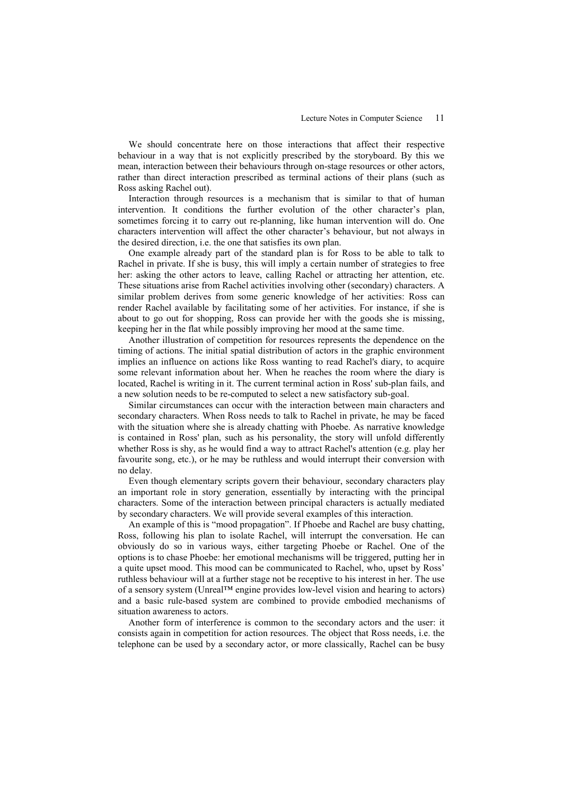We should concentrate here on those interactions that affect their respective behaviour in a way that is not explicitly prescribed by the storyboard. By this we mean, interaction between their behaviours through on-stage resources or other actors, rather than direct interaction prescribed as terminal actions of their plans (such as Ross asking Rachel out).

Interaction through resources is a mechanism that is similar to that of human intervention. It conditions the further evolution of the other character's plan, sometimes forcing it to carry out re-planning, like human intervention will do. One characters intervention will affect the other character's behaviour, but not always in the desired direction, i.e. the one that satisfies its own plan.

One example already part of the standard plan is for Ross to be able to talk to Rachel in private. If she is busy, this will imply a certain number of strategies to free her: asking the other actors to leave, calling Rachel or attracting her attention, etc. These situations arise from Rachel activities involving other (secondary) characters. A similar problem derives from some generic knowledge of her activities: Ross can render Rachel available by facilitating some of her activities. For instance, if she is about to go out for shopping, Ross can provide her with the goods she is missing, keeping her in the flat while possibly improving her mood at the same time.

Another illustration of competition for resources represents the dependence on the timing of actions. The initial spatial distribution of actors in the graphic environment implies an influence on actions like Ross wanting to read Rachel's diary, to acquire some relevant information about her. When he reaches the room where the diary is located, Rachel is writing in it. The current terminal action in Ross' sub-plan fails, and a new solution needs to be re-computed to select a new satisfactory sub-goal.

Similar circumstances can occur with the interaction between main characters and secondary characters. When Ross needs to talk to Rachel in private, he may be faced with the situation where she is already chatting with Phoebe. As narrative knowledge is contained in Ross' plan, such as his personality, the story will unfold differently whether Ross is shy, as he would find a way to attract Rachel's attention (e.g. play her favourite song, etc.), or he may be ruthless and would interrupt their conversion with no delay.

Even though elementary scripts govern their behaviour, secondary characters play an important role in story generation, essentially by interacting with the principal characters. Some of the interaction between principal characters is actually mediated by secondary characters. We will provide several examples of this interaction.

An example of this is "mood propagation". If Phoebe and Rachel are busy chatting, Ross, following his plan to isolate Rachel, will interrupt the conversation. He can obviously do so in various ways, either targeting Phoebe or Rachel. One of the options is to chase Phoebe: her emotional mechanisms will be triggered, putting her in a quite upset mood. This mood can be communicated to Rachel, who, upset by Ross' ruthless behaviour will at a further stage not be receptive to his interest in her. The use of a sensory system (Unreal™ engine provides low-level vision and hearing to actors) and a basic rule-based system are combined to provide embodied mechanisms of situation awareness to actors.

Another form of interference is common to the secondary actors and the user: it consists again in competition for action resources. The object that Ross needs, i.e. the telephone can be used by a secondary actor, or more classically, Rachel can be busy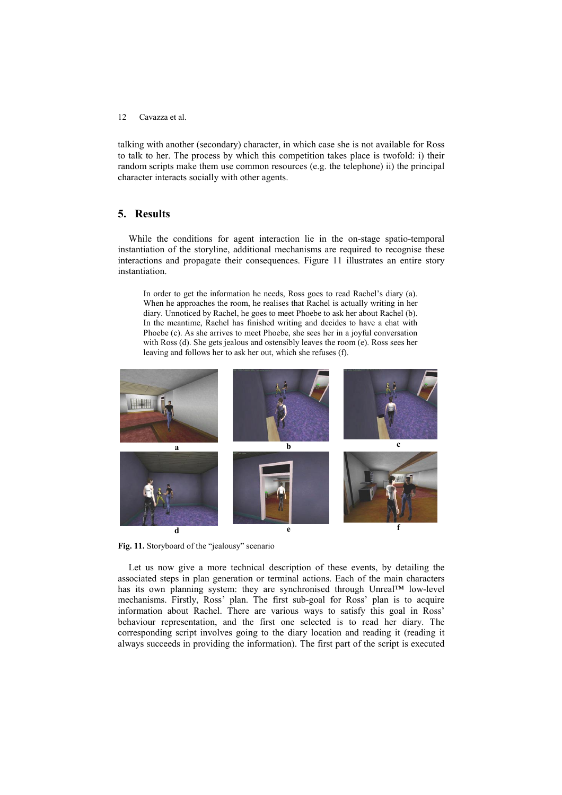talking with another (secondary) character, in which case she is not available for Ross to talk to her. The process by which this competition takes place is twofold: i) their random scripts make them use common resources (e.g. the telephone) ii) the principal character interacts socially with other agents.

## **5. Results**

While the conditions for agent interaction lie in the on-stage spatio-temporal instantiation of the storyline, additional mechanisms are required to recognise these interactions and propagate their consequences. Figure 11 illustrates an entire story instantiation.

In order to get the information he needs, Ross goes to read Rachel's diary (a). When he approaches the room, he realises that Rachel is actually writing in her diary. Unnoticed by Rachel, he goes to meet Phoebe to ask her about Rachel (b). In the meantime, Rachel has finished writing and decides to have a chat with Phoebe (c). As she arrives to meet Phoebe, she sees her in a joyful conversation with Ross (d). She gets jealous and ostensibly leaves the room (e). Ross sees her leaving and follows her to ask her out, which she refuses (f).



**Fig. 11.** Storyboard of the "jealousy" scenario

Let us now give a more technical description of these events, by detailing the associated steps in plan generation or terminal actions. Each of the main characters has its own planning system: they are synchronised through Unreal™ low-level mechanisms. Firstly, Ross' plan. The first sub-goal for Ross' plan is to acquire information about Rachel. There are various ways to satisfy this goal in Ross' behaviour representation, and the first one selected is to read her diary. The corresponding script involves going to the diary location and reading it (reading it always succeeds in providing the information). The first part of the script is executed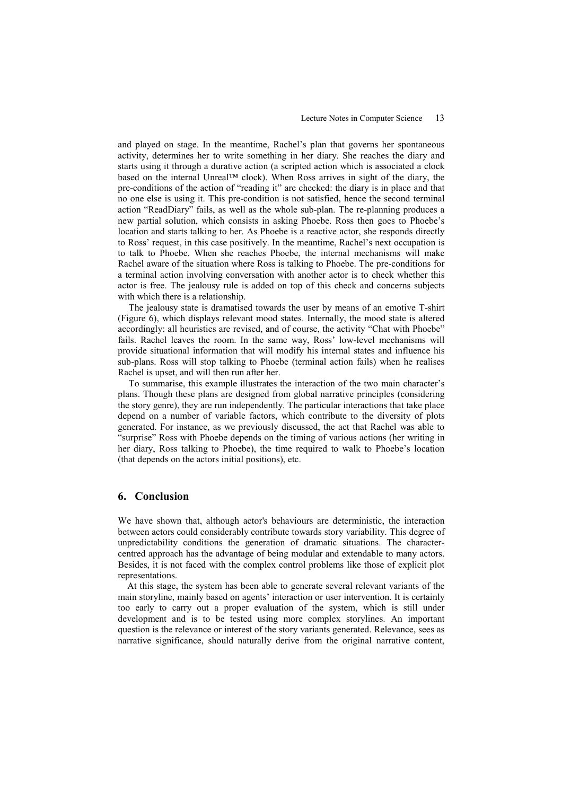and played on stage. In the meantime, Rachel's plan that governs her spontaneous activity, determines her to write something in her diary. She reaches the diary and starts using it through a durative action (a scripted action which is associated a clock based on the internal Unreal<sup>™</sup> clock). When Ross arrives in sight of the diary, the pre-conditions of the action of "reading it" are checked: the diary is in place and that no one else is using it. This pre-condition is not satisfied, hence the second terminal action "ReadDiary" fails, as well as the whole sub-plan. The re-planning produces a new partial solution, which consists in asking Phoebe. Ross then goes to Phoebe's location and starts talking to her. As Phoebe is a reactive actor, she responds directly to Ross' request, in this case positively. In the meantime, Rachel's next occupation is to talk to Phoebe. When she reaches Phoebe, the internal mechanisms will make Rachel aware of the situation where Ross is talking to Phoebe. The pre-conditions for a terminal action involving conversation with another actor is to check whether this actor is free. The jealousy rule is added on top of this check and concerns subjects with which there is a relationship.

The jealousy state is dramatised towards the user by means of an emotive T-shirt (Figure 6), which displays relevant mood states. Internally, the mood state is altered accordingly: all heuristics are revised, and of course, the activity "Chat with Phoebe" fails. Rachel leaves the room. In the same way, Ross' low-level mechanisms will provide situational information that will modify his internal states and influence his sub-plans. Ross will stop talking to Phoebe (terminal action fails) when he realises Rachel is upset, and will then run after her.

To summarise, this example illustrates the interaction of the two main character's plans. Though these plans are designed from global narrative principles (considering the story genre), they are run independently. The particular interactions that take place depend on a number of variable factors, which contribute to the diversity of plots generated. For instance, as we previously discussed, the act that Rachel was able to "surprise" Ross with Phoebe depends on the timing of various actions (her writing in her diary, Ross talking to Phoebe), the time required to walk to Phoebe's location (that depends on the actors initial positions), etc.

## **6. Conclusion**

We have shown that, although actor's behaviours are deterministic, the interaction between actors could considerably contribute towards story variability. This degree of unpredictability conditions the generation of dramatic situations. The charactercentred approach has the advantage of being modular and extendable to many actors. Besides, it is not faced with the complex control problems like those of explicit plot representations.

At this stage, the system has been able to generate several relevant variants of the main storyline, mainly based on agents' interaction or user intervention. It is certainly too early to carry out a proper evaluation of the system, which is still under development and is to be tested using more complex storylines. An important question is the relevance or interest of the story variants generated. Relevance, sees as narrative significance, should naturally derive from the original narrative content,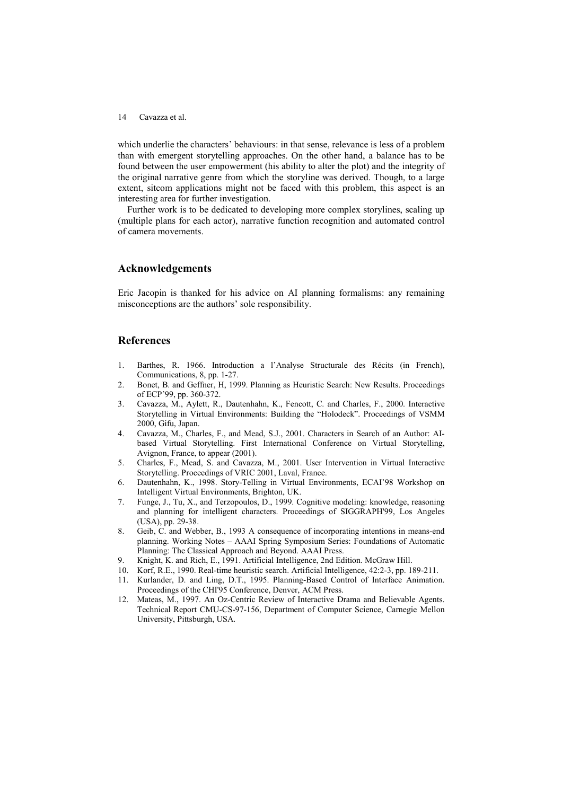which underlie the characters' behaviours: in that sense, relevance is less of a problem than with emergent storytelling approaches. On the other hand, a balance has to be found between the user empowerment (his ability to alter the plot) and the integrity of the original narrative genre from which the storyline was derived. Though, to a large extent, sitcom applications might not be faced with this problem, this aspect is an interesting area for further investigation.

Further work is to be dedicated to developing more complex storylines, scaling up (multiple plans for each actor), narrative function recognition and automated control of camera movements.

## **Acknowledgements**

Eric Jacopin is thanked for his advice on AI planning formalisms: any remaining misconceptions are the authors' sole responsibility.

## **References**

- 1. Barthes, R. 1966. Introduction a l'Analyse Structurale des Récits (in French), Communications, 8, pp. 1-27.
- 2. Bonet, B. and Geffner, H, 1999. Planning as Heuristic Search: New Results. Proceedings of ECP'99, pp. 360-372.
- 3. Cavazza, M., Aylett, R., Dautenhahn, K., Fencott, C. and Charles, F., 2000. Interactive Storytelling in Virtual Environments: Building the "Holodeck". Proceedings of VSMM 2000, Gifu, Japan.
- 4. Cavazza, M., Charles, F., and Mead, S.J., 2001. Characters in Search of an Author: AIbased Virtual Storytelling. First International Conference on Virtual Storytelling, Avignon, France, to appear (2001).
- 5. Charles, F., Mead, S. and Cavazza, M., 2001. User Intervention in Virtual Interactive Storytelling. Proceedings of VRIC 2001, Laval, France.
- 6. Dautenhahn, K., 1998. Story-Telling in Virtual Environments, ECAI'98 Workshop on Intelligent Virtual Environments, Brighton, UK.
- 7. Funge, J., Tu, X., and Terzopoulos, D., 1999. Cognitive modeling: knowledge, reasoning and planning for intelligent characters. Proceedings of SIGGRAPH'99, Los Angeles (USA), pp. 29-38.
- 8. Geib, C. and Webber, B., 1993 A consequence of incorporating intentions in means-end planning. Working Notes – AAAI Spring Symposium Series: Foundations of Automatic Planning: The Classical Approach and Beyond. AAAI Press.
- 9. Knight, K. and Rich, E., 1991. Artificial Intelligence, 2nd Edition. McGraw Hill.
- 10. Korf, R.E., 1990. Real-time heuristic search. Artificial Intelligence, 42:2-3, pp. 189-211.
- 11. Kurlander, D. and Ling, D.T., 1995. Planning-Based Control of Interface Animation. Proceedings of the CHI'95 Conference, Denver, ACM Press.
- 12. Mateas, M., 1997. An Oz-Centric Review of Interactive Drama and Believable Agents. Technical Report CMU-CS-97-156, Department of Computer Science, Carnegie Mellon University, Pittsburgh, USA.